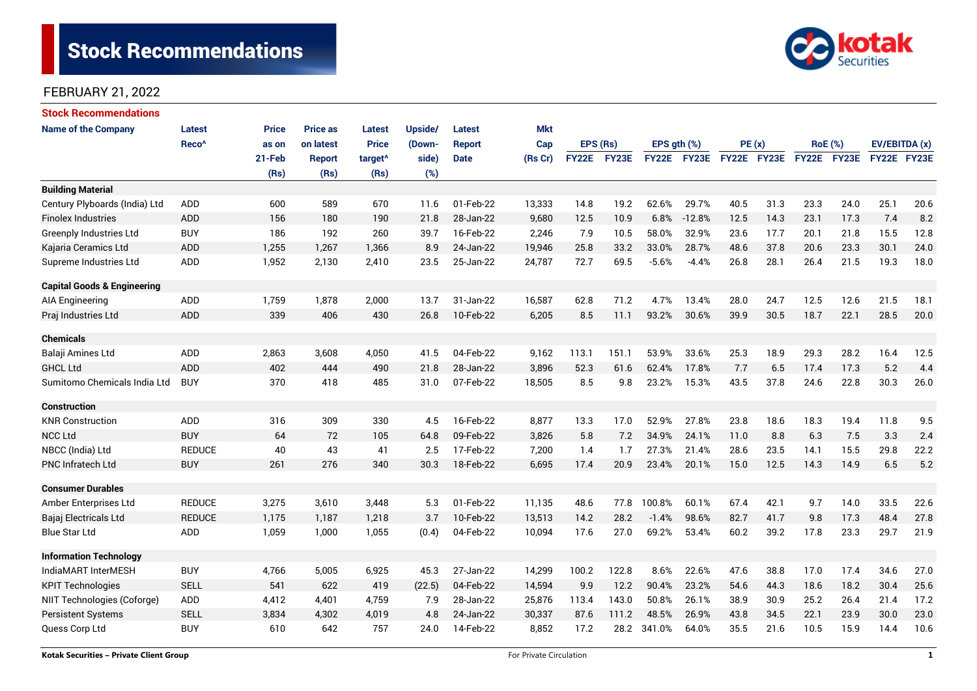# **Stock Recommendations**



### FEBRUARY 21, 2022

| <b>Stock Recommendations</b>           |                   |              |                 |                     |         |               |            |              |              |               |             |             |      |                |      |               |      |
|----------------------------------------|-------------------|--------------|-----------------|---------------------|---------|---------------|------------|--------------|--------------|---------------|-------------|-------------|------|----------------|------|---------------|------|
| <b>Name of the Company</b>             | <b>Latest</b>     | <b>Price</b> | <b>Price as</b> | Latest              | Upside/ | <b>Latest</b> | <b>Mkt</b> |              |              |               |             |             |      |                |      |               |      |
|                                        | Reco <sup>^</sup> | as on        | on latest       | <b>Price</b>        | (Down-  | <b>Report</b> | Cap        | EPS (Rs)     |              | EPS $gth$ $%$ |             | PE(x)       |      | <b>RoE</b> (%) |      | EV/EBITDA (x) |      |
|                                        |                   | $21-Feb$     | <b>Report</b>   | target <sup>^</sup> | side)   | <b>Date</b>   | (Rs Cr)    | <b>FY22E</b> | <b>FY23E</b> |               | FY22E FY23E | FY22E FY23E |      | FY22E FY23E    |      | FY22E FY23E   |      |
|                                        |                   | (Rs)         | (Rs)            | (Rs)                | (%)     |               |            |              |              |               |             |             |      |                |      |               |      |
| <b>Building Material</b>               |                   |              |                 |                     |         |               |            |              |              |               |             |             |      |                |      |               |      |
| Century Plyboards (India) Ltd          | <b>ADD</b>        | 600          | 589             | 670                 | 11.6    | 01-Feb-22     | 13,333     | 14.8         | 19.2         | 62.6%         | 29.7%       | 40.5        | 31.3 | 23.3           | 24.0 | 25.1          | 20.6 |
| <b>Finolex Industries</b>              | <b>ADD</b>        | 156          | 180             | 190                 | 21.8    | 28-Jan-22     | 9,680      | 12.5         | 10.9         | 6.8%          | $-12.8%$    | 12.5        | 14.3 | 23.1           | 17.3 | 7.4           | 8.2  |
| <b>Greenply Industries Ltd</b>         | <b>BUY</b>        | 186          | 192             | 260                 | 39.7    | 16-Feb-22     | 2,246      | 7.9          | 10.5         | 58.0%         | 32.9%       | 23.6        | 17.7 | 20.1           | 21.8 | 15.5          | 12.8 |
| Kajaria Ceramics Ltd                   | <b>ADD</b>        | 1,255        | 1,267           | 1,366               | 8.9     | 24-Jan-22     | 19,946     | 25.8         | 33.2         | 33.0%         | 28.7%       | 48.6        | 37.8 | 20.6           | 23.3 | 30.1          | 24.0 |
| Supreme Industries Ltd                 | ADD               | 1,952        | 2,130           | 2,410               | 23.5    | 25-Jan-22     | 24,787     | 72.7         | 69.5         | $-5.6%$       | $-4.4%$     | 26.8        | 28.1 | 26.4           | 21.5 | 19.3          | 18.0 |
| <b>Capital Goods &amp; Engineering</b> |                   |              |                 |                     |         |               |            |              |              |               |             |             |      |                |      |               |      |
| AIA Engineering                        | ADD               | 1,759        | 1,878           | 2,000               | 13.7    | 31-Jan-22     | 16,587     | 62.8         | 71.2         | 4.7%          | 13.4%       | 28.0        | 24.7 | 12.5           | 12.6 | 21.5          | 18.1 |
| Praj Industries Ltd                    | <b>ADD</b>        | 339          | 406             | 430                 | 26.8    | 10-Feb-22     | 6,205      | 8.5          | 11.1         | 93.2%         | 30.6%       | 39.9        | 30.5 | 18.7           | 22.1 | 28.5          | 20.0 |
| <b>Chemicals</b>                       |                   |              |                 |                     |         |               |            |              |              |               |             |             |      |                |      |               |      |
| Balaji Amines Ltd                      | ADD               | 2,863        | 3,608           | 4,050               | 41.5    | 04-Feb-22     | 9,162      | 113.1        | 151.1        | 53.9%         | 33.6%       | 25.3        | 18.9 | 29.3           | 28.2 | 16.4          | 12.5 |
| <b>GHCL Ltd</b>                        | <b>ADD</b>        | 402          | 444             | 490                 | 21.8    | 28-Jan-22     | 3.896      | 52.3         | 61.6         | 62.4%         | 17.8%       | 7.7         | 6.5  | 17.4           | 17.3 | 5.2           | 4.4  |
| Sumitomo Chemicals India Ltd           | <b>BUY</b>        | 370          | 418             | 485                 | 31.0    | 07-Feb-22     | 18,505     | 8.5          | 9.8          | 23.2%         | 15.3%       | 43.5        | 37.8 | 24.6           | 22.8 | 30.3          | 26.0 |
| <b>Construction</b>                    |                   |              |                 |                     |         |               |            |              |              |               |             |             |      |                |      |               |      |
| <b>KNR Construction</b>                | ADD               | 316          | 309             | 330                 | 4.5     | 16-Feb-22     | 8,877      | 13.3         | 17.0         | 52.9%         | 27.8%       | 23.8        | 18.6 | 18.3           | 19.4 | 11.8          | 9.5  |
| <b>NCC Ltd</b>                         | <b>BUY</b>        | 64           | 72              | 105                 | 64.8    | 09-Feb-22     | 3,826      | 5.8          | 7.2          | 34.9%         | 24.1%       | 11.0        | 8.8  | 6.3            | 7.5  | 3.3           | 2.4  |
| NBCC (India) Ltd                       | <b>REDUCE</b>     | 40           | 43              | 41                  | 2.5     | 17-Feb-22     | 7,200      | 1.4          | 1.7          | 27.3%         | 21.4%       | 28.6        | 23.5 | 14.1           | 15.5 | 29.8          | 22.2 |
| <b>PNC Infratech Ltd</b>               | <b>BUY</b>        | 261          | 276             | 340                 | 30.3    | 18-Feb-22     | 6,695      | 17.4         | 20.9         | 23.4%         | 20.1%       | 15.0        | 12.5 | 14.3           | 14.9 | 6.5           | 5.2  |
| <b>Consumer Durables</b>               |                   |              |                 |                     |         |               |            |              |              |               |             |             |      |                |      |               |      |
| Amber Enterprises Ltd                  | <b>REDUCE</b>     | 3,275        | 3,610           | 3,448               | 5.3     | 01-Feb-22     | 11,135     | 48.6         | 77.8         | 100.8%        | 60.1%       | 67.4        | 42.1 | 9.7            | 14.0 | 33.5          | 22.6 |
| Bajaj Electricals Ltd                  | <b>REDUCE</b>     | 1,175        | 1,187           | 1,218               | 3.7     | 10-Feb-22     | 13,513     | 14.2         | 28.2         | $-1.4%$       | 98.6%       | 82.7        | 41.7 | 9.8            | 17.3 | 48.4          | 27.8 |
| <b>Blue Star Ltd</b>                   | ADD               | 1,059        | 1.000           | 1,055               | (0.4)   | 04-Feb-22     | 10,094     | 17.6         | 27.0         | 69.2%         | 53.4%       | 60.2        | 39.2 | 17.8           | 23.3 | 29.7          | 21.9 |
| <b>Information Technology</b>          |                   |              |                 |                     |         |               |            |              |              |               |             |             |      |                |      |               |      |
| IndiaMART InterMESH                    | <b>BUY</b>        | 4,766        | 5,005           | 6,925               | 45.3    | 27-Jan-22     | 14,299     | 100.2        | 122.8        | 8.6%          | 22.6%       | 47.6        | 38.8 | 17.0           | 17.4 | 34.6          | 27.0 |
| <b>KPIT Technologies</b>               | <b>SELL</b>       | 541          | 622             | 419                 | (22.5)  | 04-Feb-22     | 14,594     | 9.9          | 12.2         | 90.4%         | 23.2%       | 54.6        | 44.3 | 18.6           | 18.2 | 30.4          | 25.6 |
| NIIT Technologies (Coforge)            | ADD               | 4,412        | 4,401           | 4,759               | 7.9     | 28-Jan-22     | 25,876     | 113.4        | 143.0        | 50.8%         | 26.1%       | 38.9        | 30.9 | 25.2           | 26.4 | 21.4          | 17.2 |
| Persistent Systems                     | <b>SELL</b>       | 3,834        | 4,302           | 4,019               | 4.8     | 24-Jan-22     | 30,337     | 87.6         | 111.2        | 48.5%         | 26.9%       | 43.8        | 34.5 | 22.1           | 23.9 | 30.0          | 23.0 |
| Quess Corp Ltd                         | <b>BUY</b>        | 610          | 642             | 757                 | 24.0    | 14-Feb-22     | 8,852      | 17.2         | 28.2         | 341.0%        | 64.0%       | 35.5        | 21.6 | 10.5           | 15.9 | 14.4          | 10.6 |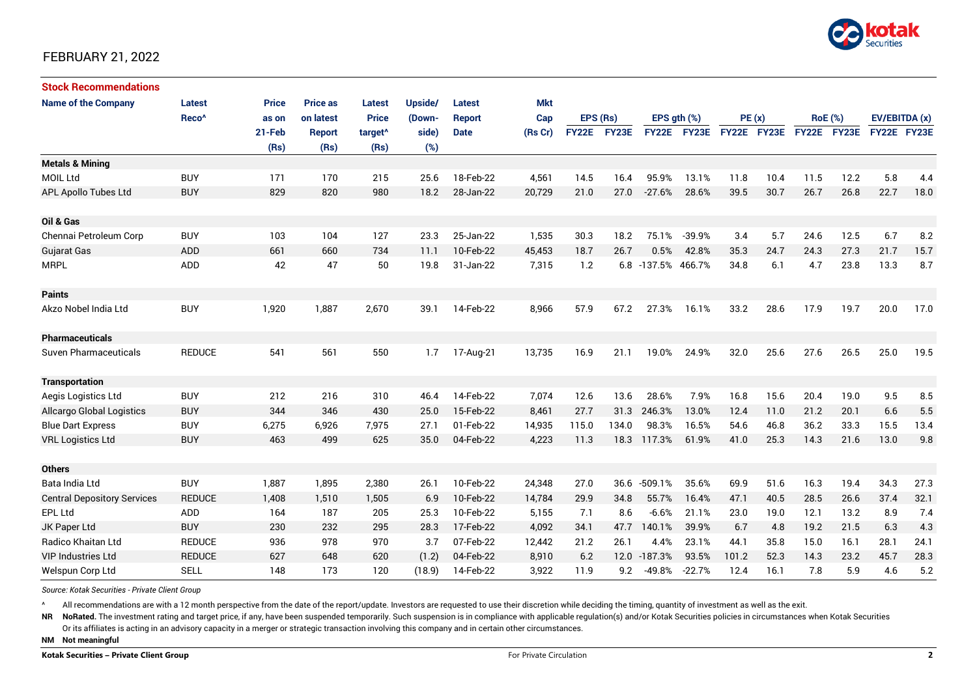

### FEBRUARY 21, 2022

| <b>Stock Recommendations</b>       |                   |              |                 |                     |         |               |            |              |       |                    |             |             |      |                |      |               |      |
|------------------------------------|-------------------|--------------|-----------------|---------------------|---------|---------------|------------|--------------|-------|--------------------|-------------|-------------|------|----------------|------|---------------|------|
| <b>Name of the Company</b>         | Latest            | <b>Price</b> | <b>Price as</b> | Latest              | Upside/ | Latest        | <b>Mkt</b> |              |       |                    |             |             |      |                |      |               |      |
|                                    | Reco <sup>^</sup> | as on        | on latest       | <b>Price</b>        | (Down-  | <b>Report</b> | Cap        | EPS (Rs)     |       | EPS $qth$ $(\%)$   |             | PE(x)       |      | <b>RoE</b> (%) |      | EV/EBITDA (x) |      |
|                                    |                   | 21-Feb       | <b>Report</b>   | target <sup>^</sup> | side)   | <b>Date</b>   | (Rs Cr)    | <b>FY22E</b> | FY23E |                    | FY22E FY23E | FY22E FY23E |      | FY22E FY23E    |      | FY22E FY23E   |      |
|                                    |                   | (Rs)         | (Rs)            | (Rs)                | (%)     |               |            |              |       |                    |             |             |      |                |      |               |      |
| <b>Metals &amp; Mining</b>         |                   |              |                 |                     |         |               |            |              |       |                    |             |             |      |                |      |               |      |
| <b>MOIL Ltd</b>                    | <b>BUY</b>        | 171          | 170             | 215                 | 25.6    | 18-Feb-22     | 4,561      | 14.5         | 16.4  | 95.9%              | 13.1%       | 11.8        | 10.4 | 11.5           | 12.2 | 5.8           | 4.4  |
| <b>APL Apollo Tubes Ltd</b>        | <b>BUY</b>        | 829          | 820             | 980                 | 18.2    | 28-Jan-22     | 20,729     | 21.0         | 27.0  | $-27.6%$           | 28.6%       | 39.5        | 30.7 | 26.7           | 26.8 | 22.7          | 18.0 |
|                                    |                   |              |                 |                     |         |               |            |              |       |                    |             |             |      |                |      |               |      |
| Oil & Gas                          |                   |              |                 |                     |         |               |            |              |       |                    |             |             |      |                |      |               |      |
| Chennai Petroleum Corp             | <b>BUY</b>        | 103          | 104             | 127                 | 23.3    | 25-Jan-22     | 1,535      | 30.3         | 18.2  | 75.1%              | $-39.9%$    | 3.4         | 5.7  | 24.6           | 12.5 | 6.7           | 8.2  |
| Gujarat Gas                        | <b>ADD</b>        | 661          | 660             | 734                 | 11.1    | 10-Feb-22     | 45,453     | 18.7         | 26.7  | 0.5%               | 42.8%       | 35.3        | 24.7 | 24.3           | 27.3 | 21.7          | 15.7 |
| <b>MRPL</b>                        | ADD               | 42           | 47              | 50                  | 19.8    | 31-Jan-22     | 7,315      | 1.2          |       | 6.8 -137.5% 466.7% |             | 34.8        | 6.1  | 4.7            | 23.8 | 13.3          | 8.7  |
| <b>Paints</b>                      |                   |              |                 |                     |         |               |            |              |       |                    |             |             |      |                |      |               |      |
| Akzo Nobel India Ltd               | <b>BUY</b>        | 1,920        | 1,887           | 2,670               | 39.1    | 14-Feb-22     | 8,966      | 57.9         | 67.2  | 27.3%              | 16.1%       | 33.2        | 28.6 | 17.9           | 19.7 | 20.0          | 17.0 |
| <b>Pharmaceuticals</b>             |                   |              |                 |                     |         |               |            |              |       |                    |             |             |      |                |      |               |      |
| Suven Pharmaceuticals              | <b>REDUCE</b>     | 541          | 561             | 550                 | 1.7     | 17-Aug-21     | 13,735     | 16.9         | 21.1  | 19.0%              | 24.9%       | 32.0        | 25.6 | 27.6           | 26.5 | 25.0          | 19.5 |
| <b>Transportation</b>              |                   |              |                 |                     |         |               |            |              |       |                    |             |             |      |                |      |               |      |
| Aegis Logistics Ltd                | <b>BUY</b>        | 212          | 216             | 310                 | 46.4    | 14-Feb-22     | 7,074      | 12.6         | 13.6  | 28.6%              | 7.9%        | 16.8        | 15.6 | 20.4           | 19.0 | 9.5           | 8.5  |
| <b>Allcargo Global Logistics</b>   | <b>BUY</b>        | 344          | 346             | 430                 | 25.0    | 15-Feb-22     | 8,461      | 27.7         | 31.3  | 246.3%             | 13.0%       | 12.4        | 11.0 | 21.2           | 20.1 | 6.6           | 5.5  |
| <b>Blue Dart Express</b>           | <b>BUY</b>        | 6,275        | 6,926           | 7,975               | 27.1    | 01-Feb-22     | 14,935     | 115.0        | 134.0 | 98.3%              | 16.5%       | 54.6        | 46.8 | 36.2           | 33.3 | 15.5          | 13.4 |
| <b>VRL Logistics Ltd</b>           | <b>BUY</b>        | 463          | 499             | 625                 | 35.0    | 04-Feb-22     | 4,223      | 11.3         | 18.3  | 117.3%             | 61.9%       | 41.0        | 25.3 | 14.3           | 21.6 | 13.0          | 9.8  |
|                                    |                   |              |                 |                     |         |               |            |              |       |                    |             |             |      |                |      |               |      |
| <b>Others</b>                      |                   |              |                 |                     |         |               |            |              |       |                    |             |             |      |                |      |               |      |
| Bata India Ltd                     | <b>BUY</b>        | 1,887        | 1,895           | 2,380               | 26.1    | 10-Feb-22     | 24,348     | 27.0         | 36.6  | $-509.1%$          | 35.6%       | 69.9        | 51.6 | 16.3           | 19.4 | 34.3          | 27.3 |
| <b>Central Depository Services</b> | <b>REDUCE</b>     | 1,408        | 1,510           | 1,505               | 6.9     | 10-Feb-22     | 14,784     | 29.9         | 34.8  | 55.7%              | 16.4%       | 47.1        | 40.5 | 28.5           | 26.6 | 37.4          | 32.1 |
| EPL Ltd                            | ADD               | 164          | 187             | 205                 | 25.3    | 10-Feb-22     | 5,155      | 7.1          | 8.6   | $-6.6%$            | 21.1%       | 23.0        | 19.0 | 12.1           | 13.2 | 8.9           | 7.4  |
| JK Paper Ltd                       | <b>BUY</b>        | 230          | 232             | 295                 | 28.3    | 17-Feb-22     | 4,092      | 34.1         | 47.7  | 140.1%             | 39.9%       | 6.7         | 4.8  | 19.2           | 21.5 | 6.3           | 4.3  |
| Radico Khaitan Ltd                 | <b>REDUCE</b>     | 936          | 978             | 970                 | 3.7     | 07-Feb-22     | 12,442     | 21.2         | 26.1  | 4.4%               | 23.1%       | 44.1        | 35.8 | 15.0           | 16.1 | 28.1          | 24.1 |
| <b>VIP Industries Ltd</b>          | <b>REDUCE</b>     | 627          | 648             | 620                 | (1.2)   | 04-Feb-22     | 8,910      | 6.2          |       | 12.0 -187.3%       | 93.5%       | 101.2       | 52.3 | 14.3           | 23.2 | 45.7          | 28.3 |
| Welspun Corp Ltd                   | <b>SELL</b>       | 148          | 173             | 120                 | (18.9)  | 14-Feb-22     | 3,922      | 11.9         | 9.2   | $-49.8%$           | $-22.7%$    | 12.4        | 16.1 | 7.8            | 5.9  | 4.6           | 5.2  |

*Source: Kotak Securities - Private Client Group*

All recommendations are with a 12 month perspective from the date of the report/update. Investors are requested to use their discretion while deciding the timing, quantity of investment as well as the exit.

NR NoRated. The investment rating and target price, if any, have been suspended temporarily. Such suspension is in compliance with applicable regulation(s) and/or Kotak Securities policies in circumstances when Kotak Secur

Or its affiliates is acting in an advisory capacity in a merger or strategic transaction involving this company and in certain other circumstances.

**NM Not meaningful**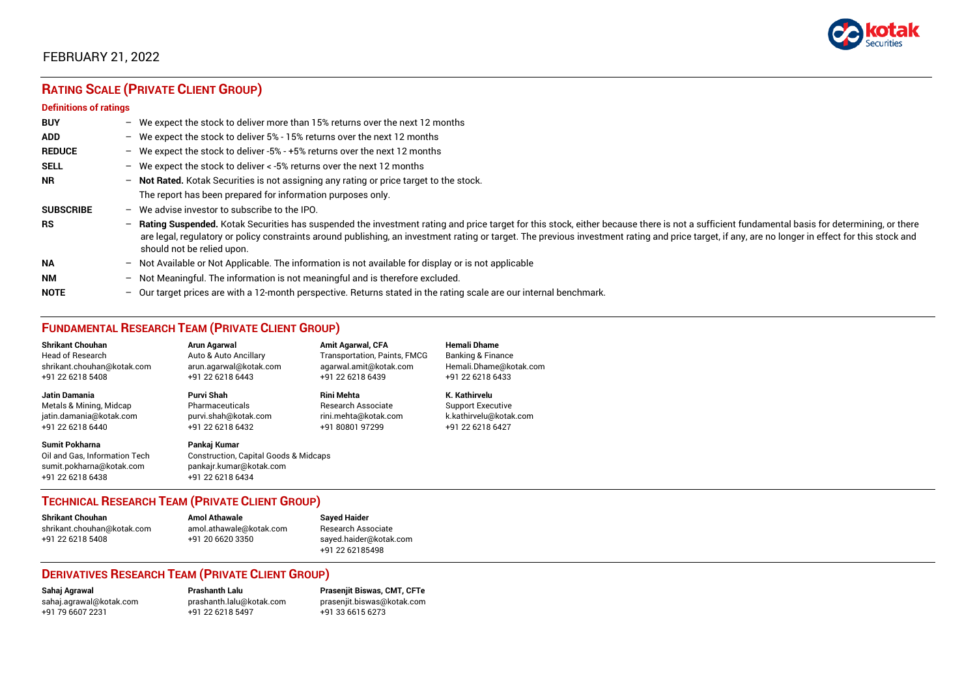

### FEBRUARY 21, 2022

## **RATING SCALE (PRIVATE CLIENT GROUP)**

#### **Definitions of ratings**

| <b>BUY</b>       |   | - We expect the stock to deliver more than 15% returns over the next 12 months                                                                                                                                                                                                                                                                                                                                                     |
|------------------|---|------------------------------------------------------------------------------------------------------------------------------------------------------------------------------------------------------------------------------------------------------------------------------------------------------------------------------------------------------------------------------------------------------------------------------------|
| <b>ADD</b>       |   | - We expect the stock to deliver 5% - 15% returns over the next 12 months                                                                                                                                                                                                                                                                                                                                                          |
| <b>REDUCE</b>    |   | - We expect the stock to deliver -5% - +5% returns over the next 12 months                                                                                                                                                                                                                                                                                                                                                         |
| <b>SELL</b>      |   | - We expect the stock to deliver $\lt$ -5% returns over the next 12 months                                                                                                                                                                                                                                                                                                                                                         |
| <b>NR</b>        |   | - Not Rated. Kotak Securities is not assigning any rating or price target to the stock.                                                                                                                                                                                                                                                                                                                                            |
|                  |   | The report has been prepared for information purposes only.                                                                                                                                                                                                                                                                                                                                                                        |
| <b>SUBSCRIBE</b> |   | $-$ We advise investor to subscribe to the IPO.                                                                                                                                                                                                                                                                                                                                                                                    |
| <b>RS</b>        |   | - Rating Suspended. Kotak Securities has suspended the investment rating and price target for this stock, either because there is not a sufficient fundamental basis for determining, or there<br>are legal, regulatory or policy constraints around publishing, an investment rating or target. The previous investment rating and price target, if any, are no longer in effect for this stock and<br>should not be relied upon. |
| <b>NA</b>        |   | $-$ Not Available or Not Applicable. The information is not available for display or is not applicable                                                                                                                                                                                                                                                                                                                             |
| <b>NM</b>        |   | - Not Meaningful. The information is not meaningful and is therefore excluded.                                                                                                                                                                                                                                                                                                                                                     |
| <b>NOTE</b>      | - | Our target prices are with a 12-month perspective. Returns stated in the rating scale are our internal benchmark.                                                                                                                                                                                                                                                                                                                  |

### **FUNDAMENTAL RESEARCH TEAM (PRIVATE CLIENT GROUP)**

| <b>Shrikant Chouhan</b>                                                                                | <b>Arun Agarwal</b>                                                                                             | <b>Amit Agarwal, CFA</b>            | <b>Hemali Dhame</b>      |
|--------------------------------------------------------------------------------------------------------|-----------------------------------------------------------------------------------------------------------------|-------------------------------------|--------------------------|
| <b>Head of Research</b>                                                                                | Auto & Auto Ancillary                                                                                           | <b>Transportation, Paints, FMCG</b> | Banking & Finance        |
| shrikant.chouhan@kotak.com                                                                             | arun.agarwal@kotak.com                                                                                          | agarwal.amit@kotak.com              | Hemali.Dhame@kotak.com   |
| +91 22 6218 5408                                                                                       | +91 22 6218 6443                                                                                                | +91 22 6218 6439                    | +91 22 6218 6433         |
| Jatin Damania                                                                                          | Purvi Shah                                                                                                      | <b>Rini Mehta</b>                   | K. Kathirvelu            |
| Metals & Mining, Midcap                                                                                | Pharmaceuticals                                                                                                 | <b>Research Associate</b>           | <b>Support Executive</b> |
| jatin.damania@kotak.com                                                                                | purvi.shah@kotak.com                                                                                            | rini.mehta@kotak.com                | k.kathirvelu@kotak.com   |
| +91 22 6218 6440                                                                                       | +91 22 6218 6432                                                                                                | +91 80801 97299                     | +91 22 6218 6427         |
| <b>Sumit Pokharna</b><br>Oil and Gas, Information Tech<br>sumit.pokharna@kotak.com<br>+91 22 6218 6438 | Pankaj Kumar<br><b>Construction, Capital Goods &amp; Midcaps</b><br>pankajr.kumar@kotak.com<br>+91 22 6218 6434 |                                     |                          |

#### **TECHNICAL RESEARCH TEAM (PRIVATE CLIENT GROUP)**

| <b>Shrikant Chouhan</b>    | <b>Amol Athawale</b>    |  |
|----------------------------|-------------------------|--|
| shrikant.chouhan@kotak.com | amol.athawale@kotak.com |  |
| +91 22 6218 5408           | +91 20 6620 3350        |  |
|                            |                         |  |

#### **Sayed Haider** Research Associate [sayed.haider@kotak.com](mailto:sayed.haider@kotak.com) +91 22 62185498

#### **DERIVATIVES RESEARCH TEAM (PRIVATE CLIENT GROUP)**

+91 22 6218 5497 +91 33 6615 6273

**Sahaj Agrawal Prashanth Lalu Prasenjit Biswas, CMT, CFTe** [sahaj.agrawal@kotak.com](mailto:sahaj.agrawal@kotak.com) [prashanth.lalu@kotak.com](mailto:prashanth.lalu@kotak.com) [prasenjit.biswas@kotak.com](mailto:prasenjit.biswas@kotak.com)